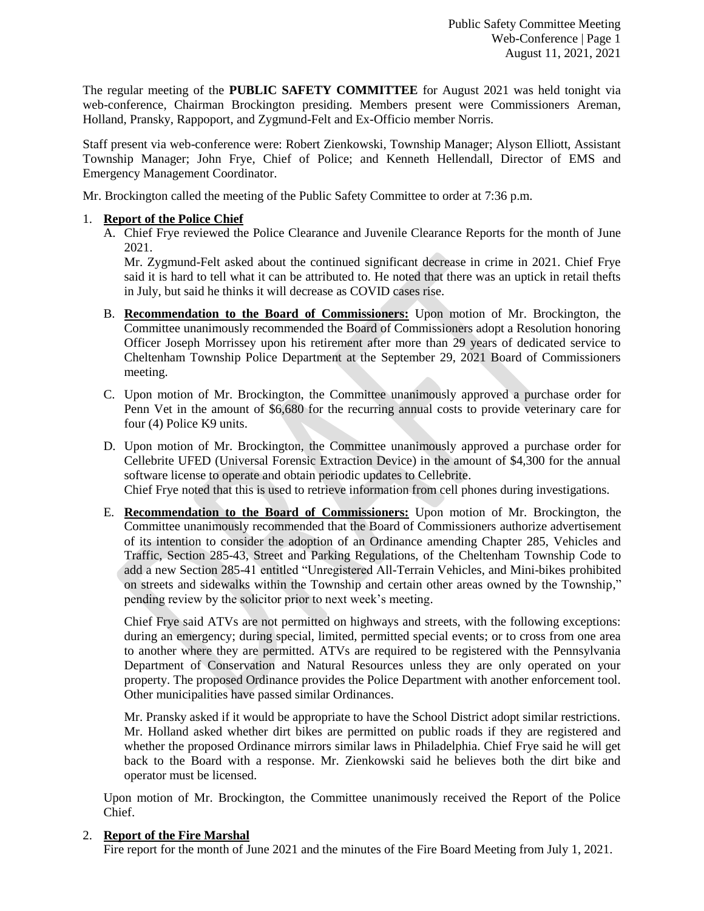The regular meeting of the **PUBLIC SAFETY COMMITTEE** for August 2021 was held tonight via web-conference, Chairman Brockington presiding. Members present were Commissioners Areman, Holland, Pransky, Rappoport, and Zygmund-Felt and Ex-Officio member Norris.

Staff present via web-conference were: Robert Zienkowski, Township Manager; Alyson Elliott, Assistant Township Manager; John Frye, Chief of Police; and Kenneth Hellendall, Director of EMS and Emergency Management Coordinator.

Mr. Brockington called the meeting of the Public Safety Committee to order at 7:36 p.m.

# 1. **Report of the Police Chief**

A. Chief Frye reviewed the Police Clearance and Juvenile Clearance Reports for the month of June 2021.

Mr. Zygmund-Felt asked about the continued significant decrease in crime in 2021. Chief Frye said it is hard to tell what it can be attributed to. He noted that there was an uptick in retail thefts in July, but said he thinks it will decrease as COVID cases rise.

- B. **Recommendation to the Board of Commissioners:** Upon motion of Mr. Brockington, the Committee unanimously recommended the Board of Commissioners adopt a Resolution honoring Officer Joseph Morrissey upon his retirement after more than 29 years of dedicated service to Cheltenham Township Police Department at the September 29, 2021 Board of Commissioners meeting.
- C. Upon motion of Mr. Brockington, the Committee unanimously approved a purchase order for Penn Vet in the amount of \$6,680 for the recurring annual costs to provide veterinary care for four (4) Police K9 units.
- D. Upon motion of Mr. Brockington, the Committee unanimously approved a purchase order for Cellebrite UFED (Universal Forensic Extraction Device) in the amount of \$4,300 for the annual software license to operate and obtain periodic updates to Cellebrite.

Chief Frye noted that this is used to retrieve information from cell phones during investigations.

E. **Recommendation to the Board of Commissioners:** Upon motion of Mr. Brockington, the Committee unanimously recommended that the Board of Commissioners authorize advertisement of its intention to consider the adoption of an Ordinance amending Chapter 285, Vehicles and Traffic, Section 285-43, Street and Parking Regulations, of the Cheltenham Township Code to add a new Section 285-41 entitled "Unregistered All-Terrain Vehicles, and Mini-bikes prohibited on streets and sidewalks within the Township and certain other areas owned by the Township," pending review by the solicitor prior to next week's meeting.

Chief Frye said ATVs are not permitted on highways and streets, with the following exceptions: during an emergency; during special, limited, permitted special events; or to cross from one area to another where they are permitted. ATVs are required to be registered with the Pennsylvania Department of Conservation and Natural Resources unless they are only operated on your property. The proposed Ordinance provides the Police Department with another enforcement tool. Other municipalities have passed similar Ordinances.

Mr. Pransky asked if it would be appropriate to have the School District adopt similar restrictions. Mr. Holland asked whether dirt bikes are permitted on public roads if they are registered and whether the proposed Ordinance mirrors similar laws in Philadelphia. Chief Frye said he will get back to the Board with a response. Mr. Zienkowski said he believes both the dirt bike and operator must be licensed.

Upon motion of Mr. Brockington, the Committee unanimously received the Report of the Police Chief.

# 2. **Report of the Fire Marshal**

Fire report for the month of June 2021 and the minutes of the Fire Board Meeting from July 1, 2021.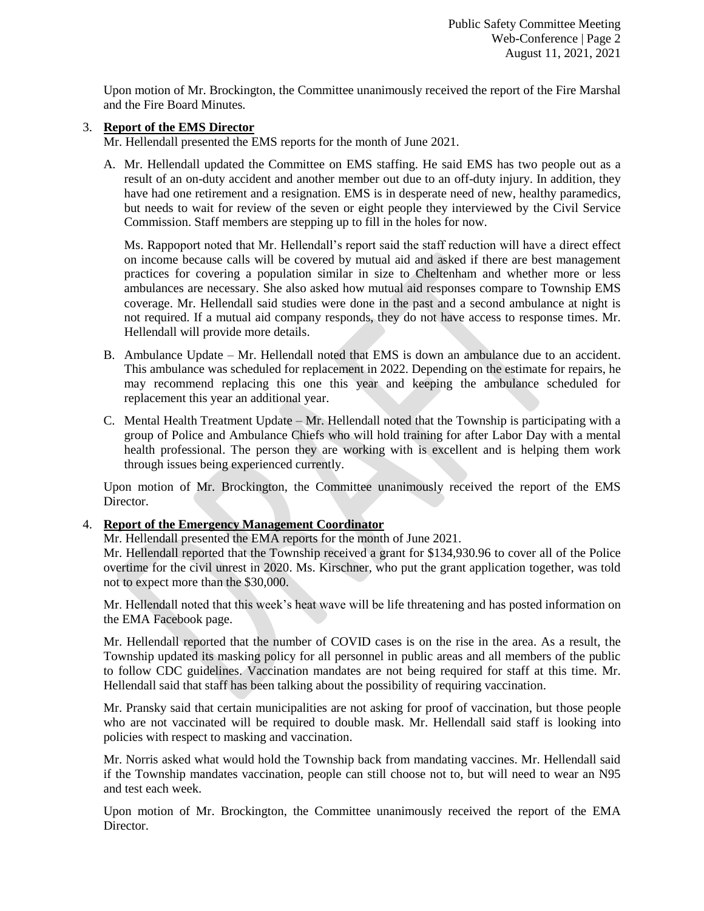Upon motion of Mr. Brockington, the Committee unanimously received the report of the Fire Marshal and the Fire Board Minutes.

#### 3. **Report of the EMS Director**

Mr. Hellendall presented the EMS reports for the month of June 2021.

A. Mr. Hellendall updated the Committee on EMS staffing. He said EMS has two people out as a result of an on-duty accident and another member out due to an off-duty injury. In addition, they have had one retirement and a resignation. EMS is in desperate need of new, healthy paramedics, but needs to wait for review of the seven or eight people they interviewed by the Civil Service Commission. Staff members are stepping up to fill in the holes for now.

Ms. Rappoport noted that Mr. Hellendall's report said the staff reduction will have a direct effect on income because calls will be covered by mutual aid and asked if there are best management practices for covering a population similar in size to Cheltenham and whether more or less ambulances are necessary. She also asked how mutual aid responses compare to Township EMS coverage. Mr. Hellendall said studies were done in the past and a second ambulance at night is not required. If a mutual aid company responds, they do not have access to response times. Mr. Hellendall will provide more details.

- B. Ambulance Update Mr. Hellendall noted that EMS is down an ambulance due to an accident. This ambulance was scheduled for replacement in 2022. Depending on the estimate for repairs, he may recommend replacing this one this year and keeping the ambulance scheduled for replacement this year an additional year.
- C. Mental Health Treatment Update Mr. Hellendall noted that the Township is participating with a group of Police and Ambulance Chiefs who will hold training for after Labor Day with a mental health professional. The person they are working with is excellent and is helping them work through issues being experienced currently.

Upon motion of Mr. Brockington, the Committee unanimously received the report of the EMS Director.

#### 4. **Report of the Emergency Management Coordinator**

Mr. Hellendall presented the EMA reports for the month of June 2021.

Mr. Hellendall reported that the Township received a grant for \$134,930.96 to cover all of the Police overtime for the civil unrest in 2020. Ms. Kirschner, who put the grant application together, was told not to expect more than the \$30,000.

Mr. Hellendall noted that this week's heat wave will be life threatening and has posted information on the EMA Facebook page.

Mr. Hellendall reported that the number of COVID cases is on the rise in the area. As a result, the Township updated its masking policy for all personnel in public areas and all members of the public to follow CDC guidelines. Vaccination mandates are not being required for staff at this time. Mr. Hellendall said that staff has been talking about the possibility of requiring vaccination.

Mr. Pransky said that certain municipalities are not asking for proof of vaccination, but those people who are not vaccinated will be required to double mask. Mr. Hellendall said staff is looking into policies with respect to masking and vaccination.

Mr. Norris asked what would hold the Township back from mandating vaccines. Mr. Hellendall said if the Township mandates vaccination, people can still choose not to, but will need to wear an N95 and test each week.

Upon motion of Mr. Brockington, the Committee unanimously received the report of the EMA Director.